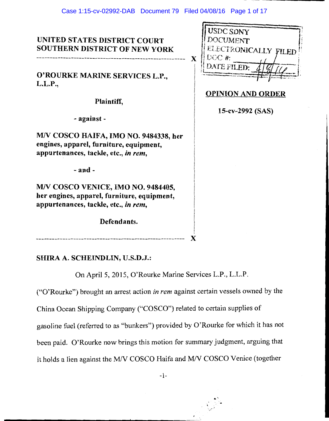# UNITED STATES DISTRICT COURT **SOUTHERN DISTRICT OF NEW YORK**

O'ROURKE MARINE SERVICES L.P.,  $L.L.P.,$ 

Plaintiff,

- against -

M/V COSCO HAIFA, IMO NO. 9484338, her engines, apparel, furniture, equipment, appurtenances, tackle, etc., in rem,

 $-$  and  $-$ 

M/V COSCO VENICE, IMO NO. 9484405, her engines, apparel, furniture, equipment, appurtenances, tackle, etc., in rem,

Defendants.

| <b>USDC SDNY</b>     |
|----------------------|
| <b>DOCUMENT</b>      |
| ELECTRONICALLY FILED |
| DC#                  |
| DATE FILED:          |
|                      |

# **OPINION AND ORDER**

15-cv-2992 (SAS)

# SHIRA A. SCHEINDLIN, U.S.D.J.:

On April 5, 2015, O'Rourke Marine Services L.P., L.L.P.

("O'Rourke") brought an arrest action in rem against certain vessels owned by the

China Ocean Shipping Company ("COSCO") related to certain supplies of

gasoline fuel (referred to as "bunkers") provided by O'Rourke for which it has not

been paid. O'Rourke now brings this motion for summary judgment, arguing that

it holds a lien against the M/V COSCO Haifa and M/V COSCO Venice (together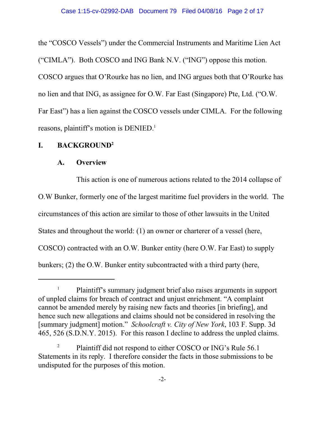the "COSCO Vessels") under the Commercial Instruments and Maritime Lien Act ("CIMLA"). Both COSCO and ING Bank N.V. ("ING") oppose this motion. COSCO argues that O'Rourke has no lien, and ING argues both that O'Rourke has no lien and that ING, as assignee for O.W. Far East (Singapore) Pte, Ltd. ("O.W. Far East") has a lien against the COSCO vessels under CIMLA. For the following reasons, plaintiff's motion is DENIED.<sup>1</sup>

### **I. BACKGROUND<sup>2</sup>**

#### **A. Overview**

This action is one of numerous actions related to the 2014 collapse of O.W Bunker, formerly one of the largest maritime fuel providers in the world. The circumstances of this action are similar to those of other lawsuits in the United States and throughout the world: (1) an owner or charterer of a vessel (here, COSCO) contracted with an O.W. Bunker entity (here O.W. Far East) to supply bunkers; (2) the O.W. Bunker entity subcontracted with a third party (here,

<sup>1</sup> Plaintiff's summary judgment brief also raises arguments in support of unpled claims for breach of contract and unjust enrichment. "A complaint cannot be amended merely by raising new facts and theories [in briefing], and hence such new allegations and claims should not be considered in resolving the [summary judgment] motion." *Schoolcraft v. City of New York*, 103 F. Supp. 3d 465, 526 (S.D.N.Y. 2015). For this reason I decline to address the unpled claims.

<sup>&</sup>lt;sup>2</sup> Plaintiff did not respond to either COSCO or ING's Rule  $56.1$ Statements in its reply. I therefore consider the facts in those submissions to be undisputed for the purposes of this motion.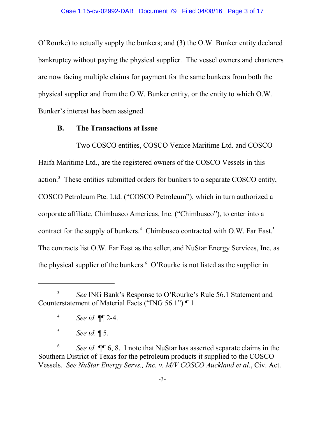O'Rourke) to actually supply the bunkers; and (3) the O.W. Bunker entity declared bankruptcy without paying the physical supplier. The vessel owners and charterers are now facing multiple claims for payment for the same bunkers from both the physical supplier and from the O.W. Bunker entity, or the entity to which O.W. Bunker's interest has been assigned.

#### **B. The Transactions at Issue**

Two COSCO entities, COSCO Venice Maritime Ltd. and COSCO Haifa Maritime Ltd., are the registered owners of the COSCO Vessels in this action.<sup>3</sup> These entities submitted orders for bunkers to a separate COSCO entity, COSCO Petroleum Pte. Ltd. ("COSCO Petroleum"), which in turn authorized a corporate affiliate, Chimbusco Americas, Inc. ("Chimbusco"), to enter into a contract for the supply of bunkers.<sup>4</sup> Chimbusco contracted with O.W. Far East.<sup>5</sup> The contracts list O.W. Far East as the seller, and NuStar Energy Services, Inc. as the physical supplier of the bunkers.<sup>6</sup> O'Rourke is not listed as the supplier in

<sup>3</sup> *See* ING Bank's Response to O'Rourke's Rule 56.1 Statement and Counterstatement of Material Facts ("ING 56.1") ¶ 1.

<sup>4</sup> *See id.* ¶¶ 2-4.

<sup>5</sup> *See id.* ¶ 5.

<sup>6</sup> *See id.* **¶** 6, 8. I note that NuStar has asserted separate claims in the Southern District of Texas for the petroleum products it supplied to the COSCO Vessels. *See NuStar Energy Servs., Inc. v. M/V COSCO Auckland et al.*, Civ. Act.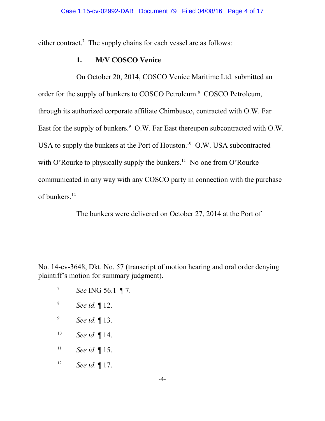either contract.<sup>7</sup> The supply chains for each vessel are as follows:

### **1. M/V COSCO Venice**

On October 20, 2014, COSCO Venice Maritime Ltd. submitted an order for the supply of bunkers to COSCO Petroleum.<sup>8</sup> COSCO Petroleum, through its authorized corporate affiliate Chimbusco, contracted with O.W. Far East for the supply of bunkers.<sup>9</sup> O.W. Far East thereupon subcontracted with O.W. USA to supply the bunkers at the Port of Houston.<sup>10</sup> O.W. USA subcontracted with O'Rourke to physically supply the bunkers.<sup>11</sup> No one from O'Rourke communicated in any way with any COSCO party in connection with the purchase of bunkers.<sup>12</sup>

The bunkers were delivered on October 27, 2014 at the Port of

- 9 *See id.* ¶ 13.
- 10 *See id.* ¶ 14.
- 11 *See id.* ¶ 15.
- 12 *See id.* ¶ 17.

No. 14-cv-3648, Dkt. No. 57 (transcript of motion hearing and oral order denying plaintiff's motion for summary judgment).

<sup>7</sup> *See* ING 56.1 ¶ 7.

<sup>8</sup> *See id.* ¶ 12.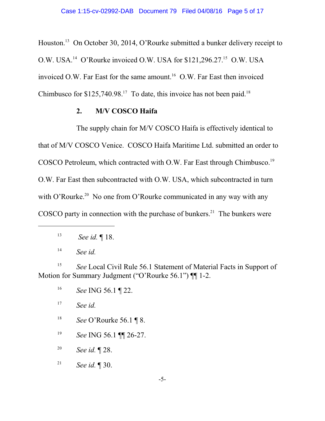Houston.<sup>13</sup> On October 30, 2014, O'Rourke submitted a bunker delivery receipt to O.W. USA.<sup>14</sup> O'Rourke invoiced O.W. USA for  $$121,296.27$ <sup>15</sup> O.W. USA invoiced O.W. Far East for the same amount.<sup>16</sup> O.W. Far East then invoiced Chimbusco for  $$125,740.98<sup>17</sup>$  To date, this invoice has not been paid.<sup>18</sup>

#### **2. M/V COSCO Haifa**

The supply chain for M/V COSCO Haifa is effectively identical to that of M/V COSCO Venice. COSCO Haifa Maritime Ltd. submitted an order to COSCO Petroleum, which contracted with O.W. Far East through Chimbusco.<sup>19</sup> O.W. Far East then subcontracted with O.W. USA, which subcontracted in turn with O'Rourke.<sup>20</sup> No one from O'Rourke communicated in any way with any COSCO party in connection with the purchase of bunkers.<sup>21</sup> The bunkers were

15 *See* Local Civil Rule 56.1 Statement of Material Facts in Support of Motion for Summary Judgment ("O'Rourke 56.1") II 1-2.

- 18 *See* O'Rourke 56.1 ¶ 8.
- 19 *See* ING 56.1 ¶¶ 26-27.

20 *See id.* ¶ 28.

21 *See id.* ¶ 30.

<sup>13</sup>  *See id.* ¶ 18.

<sup>14</sup> *See id.*

<sup>16</sup> *See* ING 56.1 ¶ 22.

<sup>17</sup> *See id.*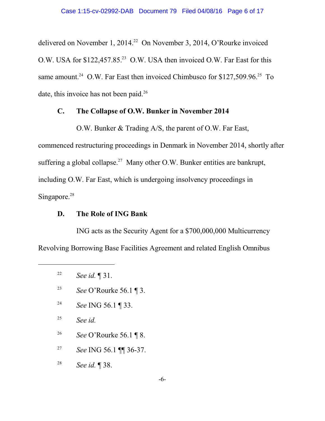delivered on November 1, 2014.<sup>22</sup> On November 3, 2014, O'Rourke invoiced O.W. USA for \$122,457.85.<sup>23</sup> O.W. USA then invoiced O.W. Far East for this same amount.<sup>24</sup> O.W. Far East then invoiced Chimbusco for \$127,509.96.<sup>25</sup> To date, this invoice has not been paid.<sup>26</sup>

#### **C. The Collapse of O.W. Bunker in November 2014**

O.W. Bunker & Trading A/S, the parent of O.W. Far East, commenced restructuring proceedings in Denmark in November 2014, shortly after suffering a global collapse.<sup>27</sup> Many other O.W. Bunker entities are bankrupt, including O.W. Far East, which is undergoing insolvency proceedings in

Singapore.<sup>28</sup>

### **D. The Role of ING Bank**

ING acts as the Security Agent for a \$700,000,000 Multicurrency Revolving Borrowing Base Facilities Agreement and related English Omnibus

- 23 *See* O'Rourke 56.1 ¶ 3.
- 24 *See* ING 56.1 ¶ 33.
- 25 *See id.*
- 26 *See* O'Rourke 56.1 ¶ 8.
- 27 *See* ING 56.1 ¶¶ 36-37.
- 28 *See id.* ¶ 38.

<sup>22</sup> *See id.* ¶ 31.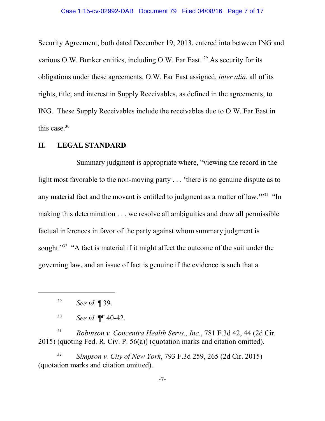Security Agreement, both dated December 19, 2013, entered into between ING and various O.W. Bunker entities, including O.W. Far East.<sup>29</sup> As security for its obligations under these agreements, O.W. Far East assigned, *inter alia*, all of its rights, title, and interest in Supply Receivables, as defined in the agreements, to ING. These Supply Receivables include the receivables due to O.W. Far East in this case. 30

#### **II. LEGAL STANDARD**

Summary judgment is appropriate where, "viewing the record in the light most favorable to the non-moving party . . . 'there is no genuine dispute as to any material fact and the movant is entitled to judgment as a matter of law."<sup>31</sup> "In making this determination . . . we resolve all ambiguities and draw all permissible factual inferences in favor of the party against whom summary judgment is sought."<sup>32</sup> "A fact is material if it might affect the outcome of the suit under the governing law, and an issue of fact is genuine if the evidence is such that a

29 *See id.* ¶ 39.

30 *See id.* ¶¶ 40-42.

<sup>31</sup> *Robinson v. Concentra Health Servs., Inc.*, 781 F.3d 42, 44 (2d Cir. 2015) (quoting Fed. R. Civ. P. 56(a)) (quotation marks and citation omitted).

32 *Simpson v. City of New York*, 793 F.3d 259, 265 (2d Cir. 2015) (quotation marks and citation omitted).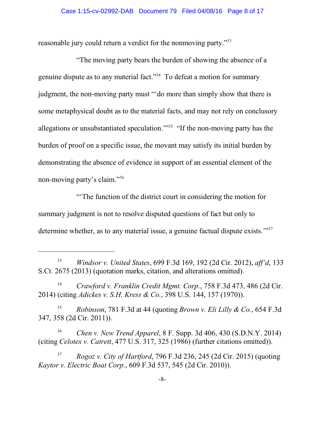#### Case 1:15-cv-02992-DAB Document 79 Filed 04/08/16 Page 8 of 17

reasonable jury could return a verdict for the nonmoving party."<sup>33</sup>

"The moving party bears the burden of showing the absence of a genuine dispute as to any material fact."<sup>34</sup> To defeat a motion for summary judgment, the non-moving party must "'do more than simply show that there is some metaphysical doubt as to the material facts, and may not rely on conclusory allegations or unsubstantiated speculation."<sup>35</sup> "If the non-moving party has the burden of proof on a specific issue, the movant may satisfy its initial burden by demonstrating the absence of evidence in support of an essential element of the non-moving party's claim."<sup>36</sup>

"'The function of the district court in considering the motion for summary judgment is not to resolve disputed questions of fact but only to determine whether, as to any material issue, a genuine factual dispute exists."<sup>37</sup>

<sup>35</sup> *Robinson*, 781 F.3d at 44 (quoting *Brown v. Eli Lilly & Co.*, 654 F.3d 347, 358 (2d Cir. 2011)).

<sup>36</sup> *Chen v. New Trend Apparel*, 8 F. Supp. 3d 406, 430 (S.D.N.Y. 2014) (citing *Celotex v. Catrett*, 477 U.S. 317, 325 (1986) (further citations omitted)).

<sup>33</sup> *Windsor v. United States*, 699 F.3d 169, 192 (2d Cir. 2012), *aff'd*, 133 S.Ct. 2675 (2013) (quotation marks, citation, and alterations omitted).

<sup>34</sup> *Crawford v. Franklin Credit Mgmt. Corp*., 758 F.3d 473, 486 (2d Cir. 2014) (citing *Adickes v. S.H. Kress & Co.*, 398 U.S. 144, 157 (1970)).

<sup>37</sup> *Rogoz v. City of Hartford*, 796 F.3d 236, 245 (2d Cir. 2015) (quoting *Kaytor v. Electric Boat Corp.*, 609 F.3d 537, 545 (2d Cir. 2010)).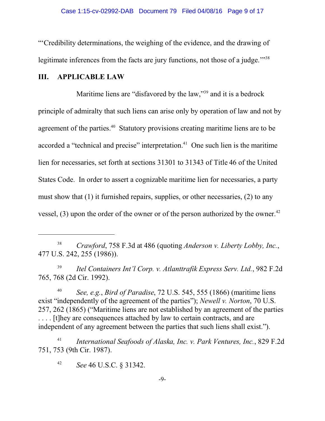"'Credibility determinations, the weighing of the evidence, and the drawing of legitimate inferences from the facts are jury functions, not those of a judge."<sup>38</sup>

## **III. APPLICABLE LAW**

Maritime liens are "disfavored by the law,"<sup>39</sup> and it is a bedrock principle of admiralty that such liens can arise only by operation of law and not by agreement of the parties.<sup>40</sup> Statutory provisions creating maritime liens are to be accorded a "technical and precise" interpretation.<sup>41</sup> One such lien is the maritime lien for necessaries, set forth at sections 31301 to 31343 of Title 46 of the United States Code. In order to assert a cognizable maritime lien for necessaries, a party must show that (1) it furnished repairs, supplies, or other necessaries, (2) to any vessel,  $(3)$  upon the order of the owner or of the person authorized by the owner.<sup>42</sup>

39 *Itel Containers Int'l Corp. v. Atlanttrafik Express Serv. Ltd.*, 982 F.2d 765, 768 (2d Cir. 1992).

40 *See, e.g.*, *Bird of Paradise*, 72 U.S. 545, 555 (1866) (maritime liens exist "independently of the agreement of the parties"); *Newell v. Norton*, 70 U.S. 257, 262 (1865) ("Maritime liens are not established by an agreement of the parties . . . . [t]hey are consequences attached by law to certain contracts, and are independent of any agreement between the parties that such liens shall exist.").

41 *International Seafoods of Alaska, Inc. v. Park Ventures, Inc.*, 829 F.2d 751, 753 (9th Cir. 1987).

42 *See* 46 U.S.C. § 31342.

<sup>38</sup> *Crawford*, 758 F.3d at 486 (quoting *Anderson v. Liberty Lobby, Inc.*, 477 U.S. 242, 255 (1986)).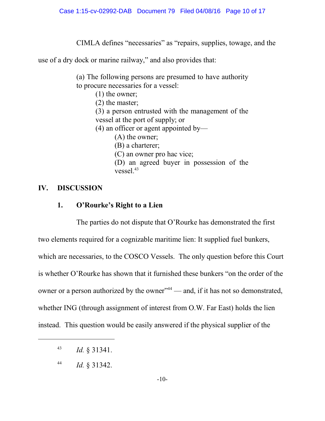CIMLA defines "necessaries" as "repairs, supplies, towage, and the

use of a dry dock or marine railway," and also provides that:

(a) The following persons are presumed to have authority to procure necessaries for a vessel:

(1) the owner;

(2) the master;

(3) a person entrusted with the management of the vessel at the port of supply; or

(4) an officer or agent appointed by—

(A) the owner;

(B) a charterer;

(C) an owner pro hac vice;

(D) an agreed buyer in possession of the vessel $^{43}$ 

## **IV. DISCUSSION**

## **1. O'Rourke's Right to a Lien**

The parties do not dispute that O'Rourke has demonstrated the first two elements required for a cognizable maritime lien: It supplied fuel bunkers, which are necessaries, to the COSCO Vessels. The only question before this Court is whether O'Rourke has shown that it furnished these bunkers "on the order of the owner or a person authorized by the owner" $44$  — and, if it has not so demonstrated, whether ING (through assignment of interest from O.W. Far East) holds the lien instead. This question would be easily answered if the physical supplier of the

<sup>43</sup> *Id.* § 31341.

<sup>44</sup> *Id.* § 31342.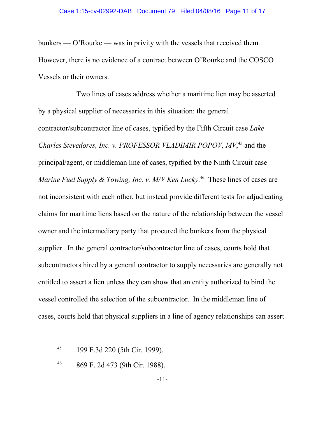bunkers — O'Rourke — was in privity with the vessels that received them. However, there is no evidence of a contract between O'Rourke and the COSCO Vessels or their owners.

Two lines of cases address whether a maritime lien may be asserted by a physical supplier of necessaries in this situation: the general contractor/subcontractor line of cases, typified by the Fifth Circuit case *Lake* Charles Stevedores, Inc. v. PROFESSOR VLADIMIR POPOV, MV,<sup>45</sup> and the principal/agent, or middleman line of cases, typified by the Ninth Circuit case Marine Fuel Supply & Towing, Inc. v. M/V Ken Lucky.<sup>46</sup> These lines of cases are not inconsistent with each other, but instead provide different tests for adjudicating claims for maritime liens based on the nature of the relationship between the vessel owner and the intermediary party that procured the bunkers from the physical supplier. In the general contractor/subcontractor line of cases, courts hold that subcontractors hired by a general contractor to supply necessaries are generally not entitled to assert a lien unless they can show that an entity authorized to bind the vessel controlled the selection of the subcontractor. In the middleman line of cases, courts hold that physical suppliers in a line of agency relationships can assert

<sup>45</sup> 199 F.3d 220 (5th Cir. 1999).

<sup>46</sup> 869 F. 2d 473 (9th Cir. 1988).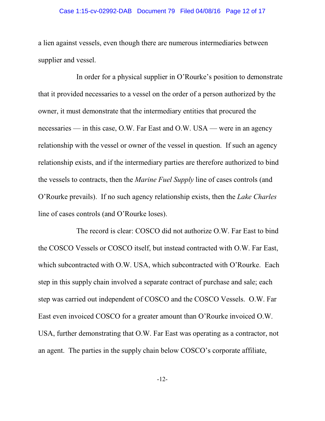#### Case 1:15-cv-02992-DAB Document 79 Filed 04/08/16 Page 12 of 17

a lien against vessels, even though there are numerous intermediaries between supplier and vessel.

In order for a physical supplier in O'Rourke's position to demonstrate that it provided necessaries to a vessel on the order of a person authorized by the owner, it must demonstrate that the intermediary entities that procured the necessaries — in this case, O.W. Far East and O.W. USA — were in an agency relationship with the vessel or owner of the vessel in question. If such an agency relationship exists, and if the intermediary parties are therefore authorized to bind the vessels to contracts, then the *Marine Fuel Supply* line of cases controls (and O'Rourke prevails). If no such agency relationship exists, then the *Lake Charles* line of cases controls (and O'Rourke loses).

The record is clear: COSCO did not authorize O.W. Far East to bind the COSCO Vessels or COSCO itself, but instead contracted with O.W. Far East, which subcontracted with O.W. USA, which subcontracted with O'Rourke. Each step in this supply chain involved a separate contract of purchase and sale; each step was carried out independent of COSCO and the COSCO Vessels. O.W. Far East even invoiced COSCO for a greater amount than O'Rourke invoiced O.W. USA, further demonstrating that O.W. Far East was operating as a contractor, not an agent. The parties in the supply chain below COSCO's corporate affiliate,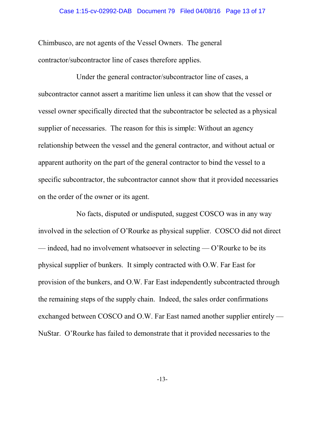#### Case 1:15-cv-02992-DAB Document 79 Filed 04/08/16 Page 13 of 17

Chimbusco, are not agents of the Vessel Owners. The general contractor/subcontractor line of cases therefore applies.

Under the general contractor/subcontractor line of cases, a subcontractor cannot assert a maritime lien unless it can show that the vessel or vessel owner specifically directed that the subcontractor be selected as a physical supplier of necessaries. The reason for this is simple: Without an agency relationship between the vessel and the general contractor, and without actual or apparent authority on the part of the general contractor to bind the vessel to a specific subcontractor, the subcontractor cannot show that it provided necessaries on the order of the owner or its agent.

No facts, disputed or undisputed, suggest COSCO was in any way involved in the selection of O'Rourke as physical supplier. COSCO did not direct — indeed, had no involvement whatsoever in selecting — O'Rourke to be its physical supplier of bunkers. It simply contracted with O.W. Far East for provision of the bunkers, and O.W. Far East independently subcontracted through the remaining steps of the supply chain. Indeed, the sales order confirmations exchanged between COSCO and O.W. Far East named another supplier entirely — NuStar. O'Rourke has failed to demonstrate that it provided necessaries to the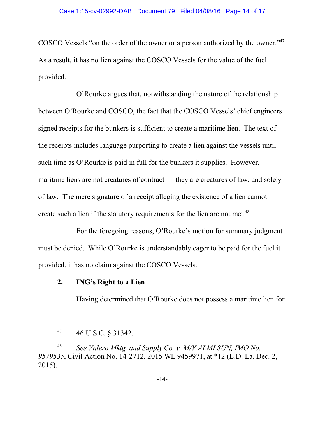COSCO Vessels "on the order of the owner or a person authorized by the owner."<sup>47</sup> As a result, it has no lien against the COSCO Vessels for the value of the fuel provided.

O'Rourke argues that, notwithstanding the nature of the relationship between O'Rourke and COSCO, the fact that the COSCO Vessels' chief engineers signed receipts for the bunkers is sufficient to create a maritime lien. The text of the receipts includes language purporting to create a lien against the vessels until such time as O'Rourke is paid in full for the bunkers it supplies. However, maritime liens are not creatures of contract — they are creatures of law, and solely of law. The mere signature of a receipt alleging the existence of a lien cannot create such a lien if the statutory requirements for the lien are not met.<sup>48</sup>

For the foregoing reasons, O'Rourke's motion for summary judgment must be denied. While O'Rourke is understandably eager to be paid for the fuel it provided, it has no claim against the COSCO Vessels.

## **2. ING's Right to a Lien**

Having determined that O'Rourke does not possess a maritime lien for

<sup>47</sup> 46 U.S.C. § 31342.

<sup>48</sup> *See Valero Mktg. and Supply Co. v. M/V ALMI SUN, IMO No. 9579535*, Civil Action No. 14-2712, 2015 WL 9459971, at \*12 (E.D. La. Dec. 2, 2015).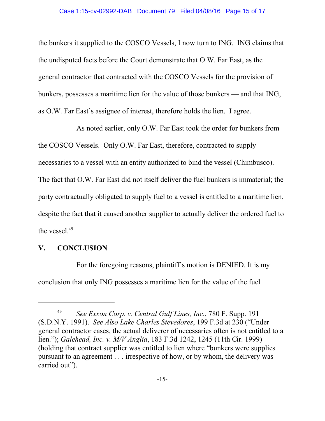the bunkers it supplied to the COSCO Vessels, I now turn to ING. ING claims that the undisputed facts before the Court demonstrate that O.W. Far East, as the general contractor that contracted with the COSCO Vessels for the provision of bunkers, possesses a maritime lien for the value of those bunkers — and that ING, as O.W. Far East's assignee of interest, therefore holds the lien. I agree.

As noted earlier, only O.W. Far East took the order for bunkers from the COSCO Vessels. Only O.W. Far East, therefore, contracted to supply necessaries to a vessel with an entity authorized to bind the vessel (Chimbusco). The fact that O.W. Far East did not itself deliver the fuel bunkers is immaterial; the party contractually obligated to supply fuel to a vessel is entitled to a maritime lien, despite the fact that it caused another supplier to actually deliver the ordered fuel to the vessel. 49

#### **V. CONCLUSION**

For the foregoing reasons, plaintiff's motion is DENIED. It is my conclusion that only ING possesses a maritime lien for the value of the fuel

<sup>49</sup> *See Exxon Corp. v. Central Gulf Lines, Inc.*, 780 F. Supp. 191 (S.D.N.Y. 1991). *See Also Lake Charles Stevedores*, 199 F.3d at 230 ("Under general contractor cases, the actual deliverer of necessaries often is not entitled to a lien."); *Galehead, Inc. v. M/V Anglia*, 183 F.3d 1242, 1245 (11th Cir. 1999) (holding that contract supplier was entitled to lien where "bunkers were supplies pursuant to an agreement . . . irrespective of how, or by whom, the delivery was carried out").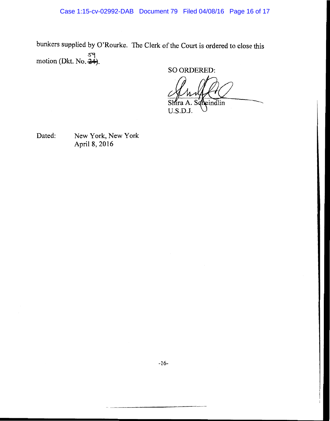bunkers supplied by O'Rourke. The Clerk of the Court is ordered to close this motion (Dkt. No.  $\frac{34}{24}$ ).

**SO ORDERED:** 

eindlin

U.S.D.J.

Dated:

New York, New York April 8, 2016